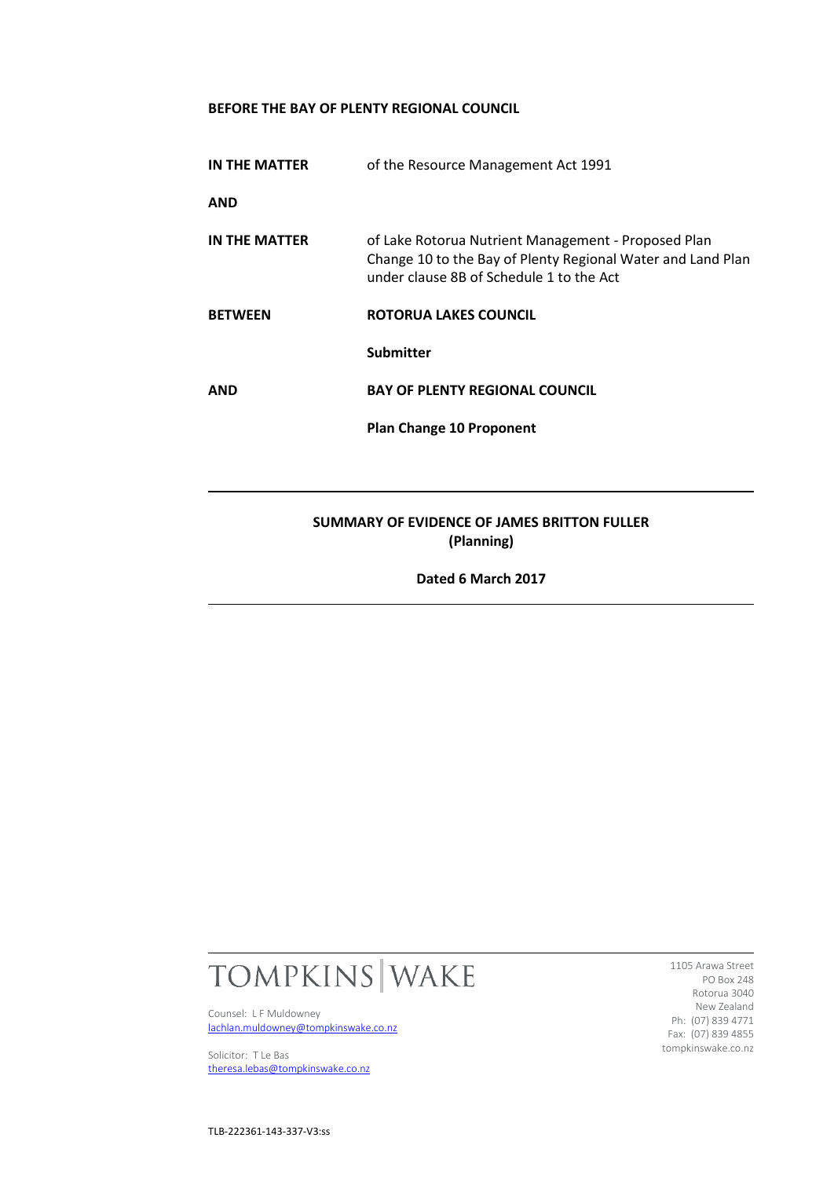# **BEFORE THE BAY OF PLENTY REGIONAL COUNCIL**

| <b>IN THE MATTER</b>                                      | of the Resource Management Act 1991                                                                                                                            |
|-----------------------------------------------------------|----------------------------------------------------------------------------------------------------------------------------------------------------------------|
| <b>AND</b>                                                |                                                                                                                                                                |
| IN THE MATTER                                             | of Lake Rotorua Nutrient Management - Proposed Plan<br>Change 10 to the Bay of Plenty Regional Water and Land Plan<br>under clause 8B of Schedule 1 to the Act |
| <b>BETWEEN</b>                                            | ROTORUA LAKES COUNCIL                                                                                                                                          |
|                                                           | <b>Submitter</b>                                                                                                                                               |
| <b>AND</b>                                                | <b>BAY OF PLENTY REGIONAL COUNCIL</b>                                                                                                                          |
|                                                           | <b>Plan Change 10 Proponent</b>                                                                                                                                |
|                                                           |                                                                                                                                                                |
| SUMMARY OF EVIDENCE OF JAMES BRITTON FULLER<br>(Planning) |                                                                                                                                                                |

**Dated 6 March 2017**



Counsel: L F Muldowney [lachlan.muldowney@tompkinswake.co.nz](mailto:lachlan.muldowney@tompkinswake.co.nz)

Solicitor: T Le Bas [theresa.lebas@tompkinswake.co.nz](mailto:theresa.lebas@tompkinswake.co.nz)

1105 Arawa Street PO Box 248 Rotorua 3040 New Zealand Ph: (07) 839 4771 Fax: (07) 839 4855 tompkinswake.co.nz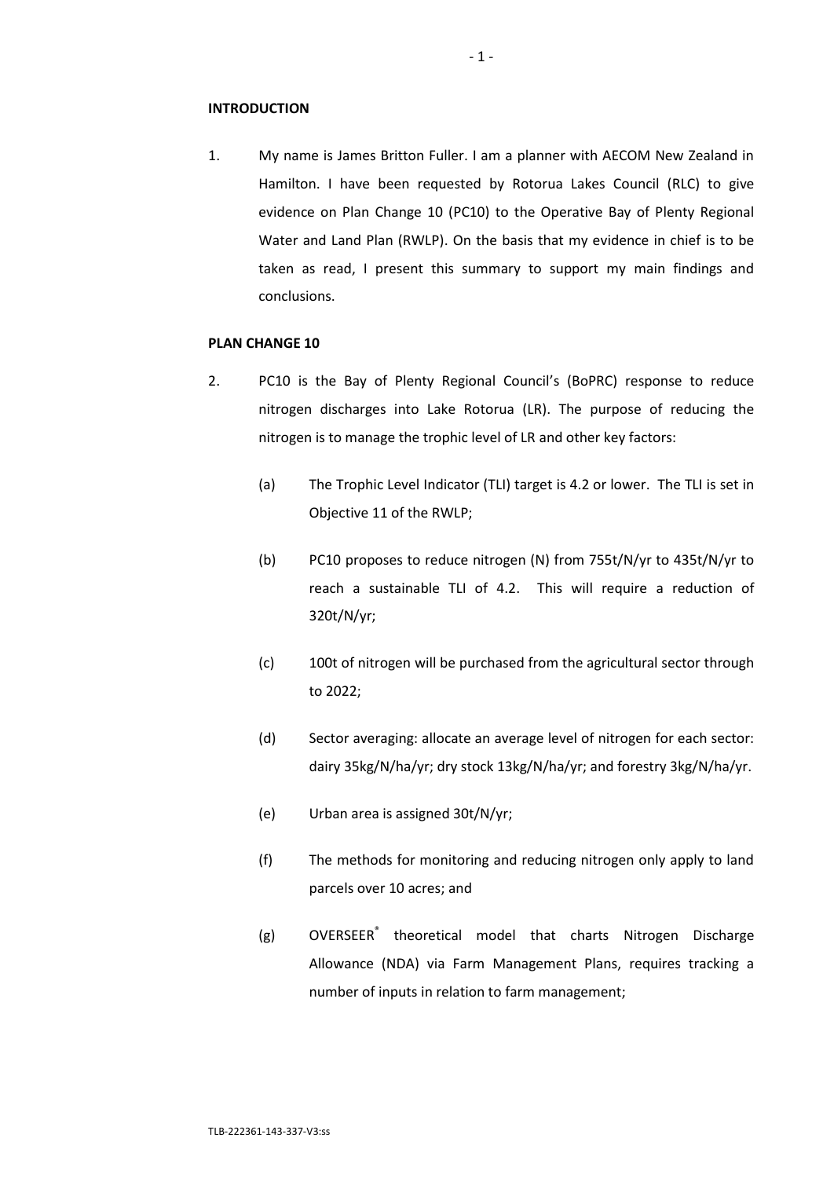### **INTRODUCTION**

1. My name is James Britton Fuller. I am a planner with AECOM New Zealand in Hamilton. I have been requested by Rotorua Lakes Council (RLC) to give evidence on Plan Change 10 (PC10) to the Operative Bay of Plenty Regional Water and Land Plan (RWLP). On the basis that my evidence in chief is to be taken as read, I present this summary to support my main findings and conclusions.

## **PLAN CHANGE 10**

- 2. PC10 is the Bay of Plenty Regional Council's (BoPRC) response to reduce nitrogen discharges into Lake Rotorua (LR). The purpose of reducing the nitrogen is to manage the trophic level of LR and other key factors:
	- (a) The Trophic Level Indicator (TLI) target is 4.2 or lower. The TLI is set in Objective 11 of the RWLP;
	- (b) PC10 proposes to reduce nitrogen (N) from 755t/N/yr to 435t/N/yr to reach a sustainable TLI of 4.2. This will require a reduction of 320t/N/yr;
	- (c) 100t of nitrogen will be purchased from the agricultural sector through to 2022;
	- (d) Sector averaging: allocate an average level of nitrogen for each sector: dairy 35kg/N/ha/yr; dry stock 13kg/N/ha/yr; and forestry 3kg/N/ha/yr.
	- (e) Urban area is assigned 30t/N/yr;
	- (f) The methods for monitoring and reducing nitrogen only apply to land parcels over 10 acres; and
	- (g) OVERSEER<sup>®</sup> theoretical model that charts Nitrogen Discharge Allowance (NDA) via Farm Management Plans, requires tracking a number of inputs in relation to farm management;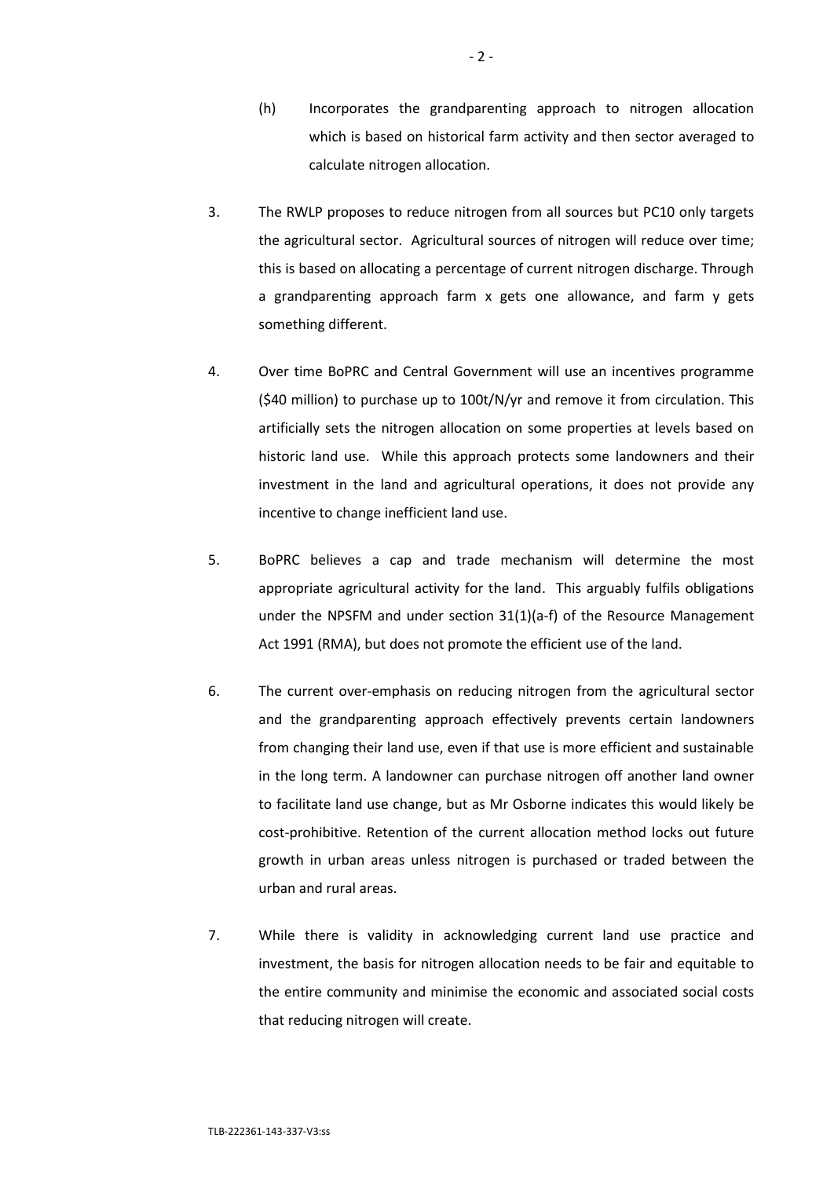- (h) Incorporates the grandparenting approach to nitrogen allocation which is based on historical farm activity and then sector averaged to calculate nitrogen allocation.
- 3. The RWLP proposes to reduce nitrogen from all sources but PC10 only targets the agricultural sector. Agricultural sources of nitrogen will reduce over time; this is based on allocating a percentage of current nitrogen discharge. Through a grandparenting approach farm x gets one allowance, and farm y gets something different.
- 4. Over time BoPRC and Central Government will use an incentives programme (\$40 million) to purchase up to 100t/N/yr and remove it from circulation. This artificially sets the nitrogen allocation on some properties at levels based on historic land use. While this approach protects some landowners and their investment in the land and agricultural operations, it does not provide any incentive to change inefficient land use.
- 5. BoPRC believes a cap and trade mechanism will determine the most appropriate agricultural activity for the land. This arguably fulfils obligations under the NPSFM and under section  $31(1)(a-f)$  of the Resource Management Act 1991 (RMA), but does not promote the efficient use of the land.
- 6. The current over-emphasis on reducing nitrogen from the agricultural sector and the grandparenting approach effectively prevents certain landowners from changing their land use, even if that use is more efficient and sustainable in the long term. A landowner can purchase nitrogen off another land owner to facilitate land use change, but as Mr Osborne indicates this would likely be cost-prohibitive. Retention of the current allocation method locks out future growth in urban areas unless nitrogen is purchased or traded between the urban and rural areas.
- 7. While there is validity in acknowledging current land use practice and investment, the basis for nitrogen allocation needs to be fair and equitable to the entire community and minimise the economic and associated social costs that reducing nitrogen will create.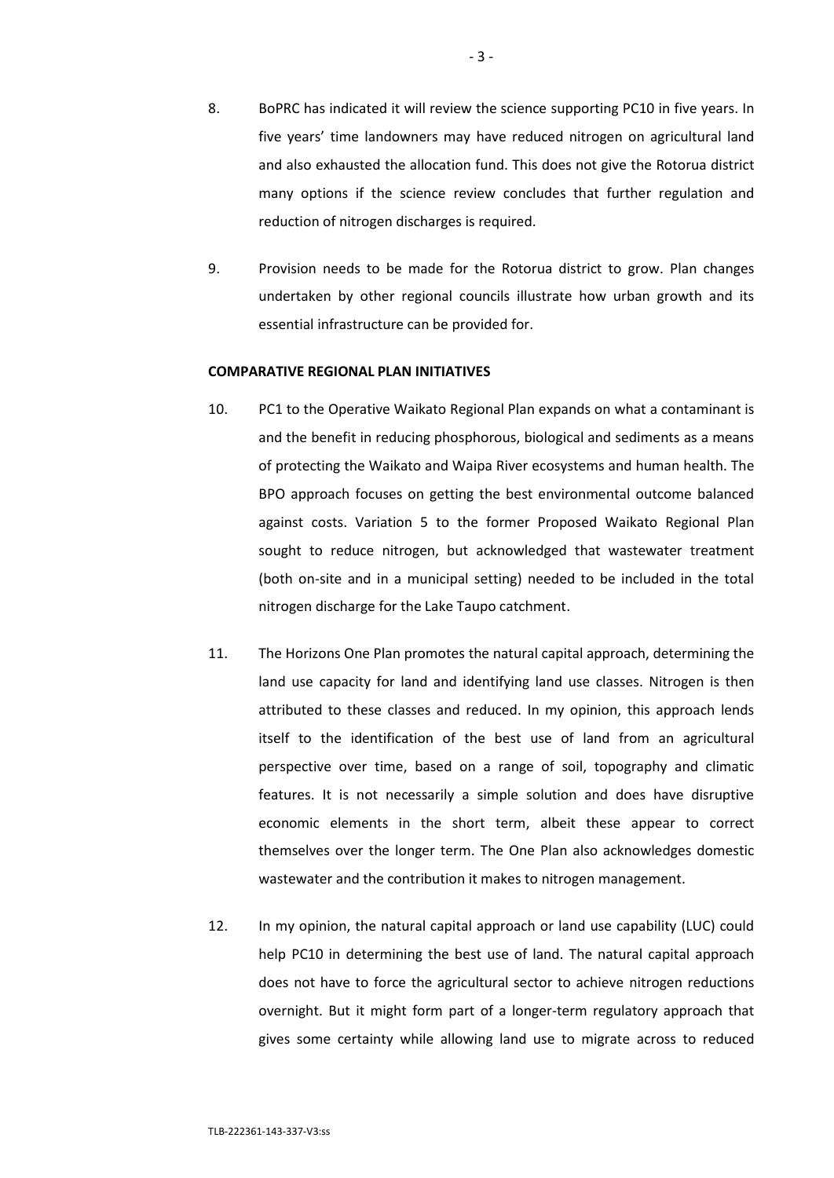- 8. BoPRC has indicated it will review the science supporting PC10 in five years. In five years' time landowners may have reduced nitrogen on agricultural land and also exhausted the allocation fund. This does not give the Rotorua district many options if the science review concludes that further regulation and reduction of nitrogen discharges is required.
- 9. Provision needs to be made for the Rotorua district to grow. Plan changes undertaken by other regional councils illustrate how urban growth and its essential infrastructure can be provided for.

### **COMPARATIVE REGIONAL PLAN INITIATIVES**

- 10. PC1 to the Operative Waikato Regional Plan expands on what a contaminant is and the benefit in reducing phosphorous, biological and sediments as a means of protecting the Waikato and Waipa River ecosystems and human health. The BPO approach focuses on getting the best environmental outcome balanced against costs. Variation 5 to the former Proposed Waikato Regional Plan sought to reduce nitrogen, but acknowledged that wastewater treatment (both on-site and in a municipal setting) needed to be included in the total nitrogen discharge for the Lake Taupo catchment.
- 11. The Horizons One Plan promotes the natural capital approach, determining the land use capacity for land and identifying land use classes. Nitrogen is then attributed to these classes and reduced. In my opinion, this approach lends itself to the identification of the best use of land from an agricultural perspective over time, based on a range of soil, topography and climatic features. It is not necessarily a simple solution and does have disruptive economic elements in the short term, albeit these appear to correct themselves over the longer term. The One Plan also acknowledges domestic wastewater and the contribution it makes to nitrogen management.
- 12. In my opinion, the natural capital approach or land use capability (LUC) could help PC10 in determining the best use of land. The natural capital approach does not have to force the agricultural sector to achieve nitrogen reductions overnight. But it might form part of a longer-term regulatory approach that gives some certainty while allowing land use to migrate across to reduced